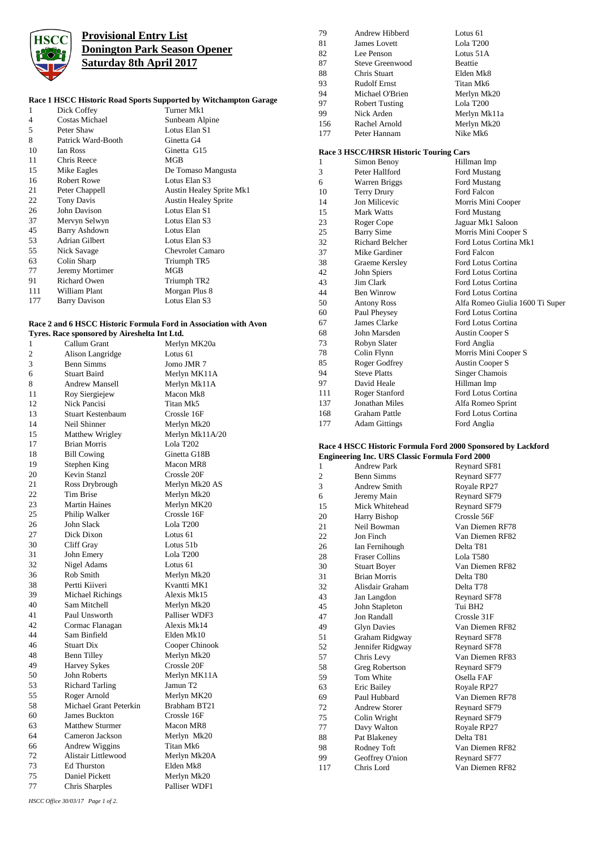

## **Provisional Entry List Donington Park Season Opener Saturday 8th April 2017**

## **Race 1 HSCC Historic Road Sports Supported by Witchampton Garage**

| 1   | Dick Coffey           | Turner Mk1                      |
|-----|-----------------------|---------------------------------|
| 4   | <b>Costas Michael</b> | Sunbeam Alpine                  |
| 5   | Peter Shaw            | Lotus Elan S1                   |
| 8   | Patrick Ward-Booth    | Ginetta G4                      |
| 10  | <b>Ian Ross</b>       | Ginetta G15                     |
| 11  | Chris Reece           | MGB                             |
| 15  | Mike Eagles           | De Tomaso Mangusta              |
| 16  | <b>Robert Rowe</b>    | Lotus Elan S3                   |
| 21  | Peter Chappell        | <b>Austin Healey Sprite Mk1</b> |
| 22  | <b>Tony Davis</b>     | <b>Austin Healey Sprite</b>     |
| 26  | John Davison          | Lotus Elan S1                   |
| 37  | Mervyn Selwyn         | Lotus Elan S3                   |
| 45  | Barry Ashdown         | Lotus Elan                      |
| 53  | Adrian Gilbert        | Lotus Elan S3                   |
| 55  | Nick Savage           | <b>Chevrolet Camaro</b>         |
| 63  | Colin Sharp           | Triumph TR5                     |
| 77  | Jeremy Mortimer       | MGB                             |
| 91  | <b>Richard Owen</b>   | Triumph TR2                     |
| 111 | William Plant         | Morgan Plus 8                   |
| 177 | <b>Barry Davison</b>  | Lotus Elan S3                   |
|     |                       |                                 |

## **Race 2 and 6 HSCC Historic Formula Ford in Association with Avon Tyres. Race sponsored by Aireshelta Int Ltd.**

| 1  | Callum Grant           | Merlyn MK20a         |
|----|------------------------|----------------------|
| 2  | Alison Langridge       | Lotus 61             |
| 3  | Benn Simms             | Jomo JMR 7           |
| 6  | <b>Stuart Baird</b>    | Merlyn MK11A         |
| 8  | <b>Andrew Mansell</b>  | Merlyn Mk11A         |
| 11 | Roy Siergiejew         | Macon Mk8            |
| 12 | Nick Pancisi           | Titan Mk5            |
| 13 | Stuart Kestenbaum      | Crossle 16F          |
| 14 | Neil Shinner           | Merlyn Mk20          |
| 15 | Matthew Wrigley        | Merlyn Mk11A/20      |
| 17 | <b>Brian Morris</b>    | Lola T202            |
| 18 | <b>Bill Cowing</b>     | Ginetta G18B         |
| 19 | Stephen King           | Macon MR8            |
| 20 | Kevin Stanzl           | Crossle 20F          |
| 21 | Ross Drybrough         | Merlyn Mk20 AS       |
| 22 | <b>Tim Brise</b>       | Merlyn Mk20          |
| 23 | <b>Martin Haines</b>   | Merlyn MK20          |
| 25 | Philip Walker          | Crossle 16F          |
| 26 | John Slack             | Lola T200            |
| 27 | Dick Dixon             | Lotus 61             |
| 30 | Cliff Gray             | Lotus 51b            |
| 31 | John Emery             | Lola T200            |
| 32 | Nigel Adams            | Lotus 61             |
| 36 | Rob Smith              | Merlyn Mk20          |
| 38 | Pertti Kiiveri         | Kvantti MK1          |
| 39 | Michael Richings       | Alexis Mk15          |
| 40 | Sam Mitchell           | Merlyn Mk20          |
| 41 | Paul Unsworth          | Palliser WDF3        |
| 42 | Cormac Flanagan        | Alexis Mk14          |
| 44 | Sam Binfield           | Elden Mk10           |
| 46 | <b>Stuart Dix</b>      | Cooper Chinook       |
| 48 | Benn Tilley            | Merlyn Mk20          |
| 49 | <b>Harvey Sykes</b>    | Crossle 20F          |
| 50 | <b>John Roberts</b>    | Merlyn MK11A         |
| 53 | <b>Richard Tarling</b> | Jamun T <sub>2</sub> |
| 55 | Roger Arnold           | Merlyn MK20          |
| 58 | Michael Grant Peterkin | Brabham BT21         |
| 60 | <b>James Buckton</b>   | Crossle 16F          |
| 63 | <b>Matthew Sturmer</b> | Macon MR8            |
| 64 | Cameron Jackson        | Merlyn Mk20          |
| 66 | Andrew Wiggins         | Titan Mk6            |
| 72 | Alistair Littlewood    | Merlyn Mk20A         |
| 73 | <b>Ed Thurston</b>     | Elden Mk8            |
| 75 | Daniel Pickett         | Merlyn Mk20          |
| 77 | Chris Sharples         | Palliser WDF1        |

| James Lovett           | Lola T200                              |
|------------------------|----------------------------------------|
| Lee Penson             | Lotus $51A$                            |
| Steve Greenwood        | <b>Beattie</b>                         |
| Chris Stuart           | Elden Mk8                              |
| <b>Rudolf Ernst</b>    | Titan Mk6                              |
| Michael O'Brien        | Merlyn Mk20                            |
| <b>Robert Tusting</b>  | Lola T <sub>200</sub>                  |
| Nick Arden             | Merlyn Mk11a                           |
| Rachel Arnold          | Merlyn Mk20                            |
| Peter Hannam           | Nike Mk6                               |
|                        |                                        |
| Simon Benoy            | Hillman Imp                            |
| Peter Hallford         | Ford Mustang                           |
| Warren Briggs          | Ford Mustang                           |
| <b>Terry Drury</b>     | Ford Falcon                            |
| Jon Milicevic          | Morris Mini Cooper                     |
| Mark Watts             | Ford Mustang                           |
| Roger Cope             | Jaguar Mk1 Saloon                      |
| <b>Barry Sime</b>      | Morris Mini Cooper S                   |
| <b>Richard Belcher</b> | Ford Lotus Cortina Mk1                 |
| Mike Gardiner          | Ford Falcon                            |
| Graeme Kersley         | Ford Lotus Cortina                     |
| John Spiers            | Ford Lotus Cortina                     |
| Jim Clark              | Ford Lotus Cortina                     |
| <b>Ben Winrow</b>      | Ford Lotus Cortina                     |
| <b>Antony Ross</b>     | Alfa Romeo Giulia 1600 Ti Super        |
| Paul Pheysey           | Ford Lotus Cortina                     |
| James Clarke           | Ford Lotus Cortina                     |
| John Marsden           | Austin Cooper S                        |
| Robyn Slater           | Ford Anglia                            |
| Colin Flynn            | Morris Mini Cooper S                   |
| Roger Godfrey          | <b>Austin Cooper S</b>                 |
| <b>Steve Platts</b>    | Singer Chamois                         |
| David Heale            | Hillman Imp                            |
| Roger Stanford         | Ford Lotus Cortina                     |
| <b>Jonathan Miles</b>  | Alfa Romeo Sprint                      |
| <b>Graham Pattle</b>   | Ford Lotus Cortina                     |
| <b>Adam Gittings</b>   | Ford Anglia                            |
|                        | Race 3 HSCC/HRSR Historic Touring Cars |

## **Race 4 HSCC Historic Formula Ford 2000 Sponsored by Lackford Engineering Inc. URS Classic Formula Ford 2000**

|     | Engineering Inc. URS Classic Formula Ford 2000 |                     |
|-----|------------------------------------------------|---------------------|
| 1   | <b>Andrew Park</b>                             | Reynard SF81        |
| 2   | <b>Benn Simms</b>                              | Reynard SF77        |
| 3   | Andrew Smith                                   | Royale RP27         |
| 6   | Jeremy Main                                    | Reynard SF79        |
| 15  | Mick Whitehead                                 | Reynard SF79        |
| 20  | Harry Bishop                                   | Crossle 56F         |
| 21  | Neil Bowman                                    | Van Diemen RF78     |
| 22  | Jon Finch                                      | Van Diemen RF82     |
| 26  | Ian Fernihough                                 | Delta T81           |
| 28  | <b>Fraser Collins</b>                          | Lola T580           |
| 30  | <b>Stuart Boyer</b>                            | Van Diemen RF82     |
| 31  | <b>Brian Morris</b>                            | Delta T80           |
| 32  | Alisdair Graham                                | Delta T78           |
| 43  | Jan Langdon                                    | Reynard SF78        |
| 45  | John Stapleton                                 | Tui BH <sub>2</sub> |
| 47  | Jon Randall                                    | Crossle 31F         |
| 49  | <b>Glyn Davies</b>                             | Van Diemen RF82     |
| 51  | Graham Ridgway                                 | Reynard SF78        |
| 52  | Jennifer Ridgway                               | Reynard SF78        |
| 57  | Chris Levy                                     | Van Diemen RF83     |
| 58  | Greg Robertson                                 | Reynard SF79        |
| 59  | Tom White                                      | Osella FAF          |
| 63  | Eric Bailey                                    | Royale RP27         |
| 69  | Paul Hubbard                                   | Van Diemen RF78     |
| 72  | <b>Andrew Storer</b>                           | Reynard SF79        |
| 75  | Colin Wright                                   | Reynard SF79        |
| 77  | Davy Walton                                    | Royale RP27         |
| 88  | Pat Blakeney                                   | Delta T81           |
| 98  | Rodney Toft                                    | Van Diemen RF82     |
| 99  | Geoffrey O'nion                                | Reynard SF77        |
| 117 | Chris Lord                                     | Van Diemen RF82     |